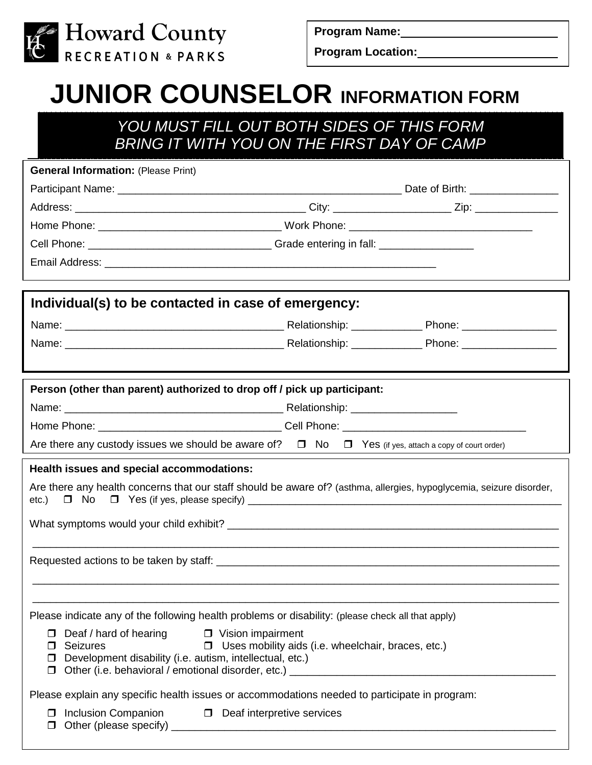

**Program Name:**

**Program Location:**

# **JUNIOR COUNSELOR INFORMATION FORM**

## *YOU MUST FILL OUT BOTH SIDES OF THIS FORM BRING IT WITH YOU ON THE FIRST DAY OF CAMP*

| <b>General Information: (Please Print)</b>                                                                                    |                                                           |  |  |  |  |
|-------------------------------------------------------------------------------------------------------------------------------|-----------------------------------------------------------|--|--|--|--|
|                                                                                                                               |                                                           |  |  |  |  |
|                                                                                                                               |                                                           |  |  |  |  |
|                                                                                                                               |                                                           |  |  |  |  |
|                                                                                                                               |                                                           |  |  |  |  |
|                                                                                                                               |                                                           |  |  |  |  |
|                                                                                                                               |                                                           |  |  |  |  |
| Individual(s) to be contacted in case of emergency:                                                                           |                                                           |  |  |  |  |
|                                                                                                                               |                                                           |  |  |  |  |
|                                                                                                                               |                                                           |  |  |  |  |
|                                                                                                                               |                                                           |  |  |  |  |
| Person (other than parent) authorized to drop off / pick up participant:                                                      |                                                           |  |  |  |  |
|                                                                                                                               |                                                           |  |  |  |  |
|                                                                                                                               |                                                           |  |  |  |  |
|                                                                                                                               |                                                           |  |  |  |  |
| Are there any custody issues we should be aware of? $\Box$ No $\Box$ Yes (if yes, attach a copy of court order)               |                                                           |  |  |  |  |
| Health issues and special accommodations:                                                                                     |                                                           |  |  |  |  |
| Are there any health concerns that our staff should be aware of? (asthma, allergies, hypoglycemia, seizure disorder,<br>etc.) |                                                           |  |  |  |  |
|                                                                                                                               |                                                           |  |  |  |  |
|                                                                                                                               |                                                           |  |  |  |  |
|                                                                                                                               |                                                           |  |  |  |  |
|                                                                                                                               |                                                           |  |  |  |  |
|                                                                                                                               |                                                           |  |  |  |  |
| Please indicate any of the following health problems or disability: (please check all that apply)                             |                                                           |  |  |  |  |
| $\Box$ Deaf / hard of hearing<br>□ Vision impairment                                                                          |                                                           |  |  |  |  |
| Seizures<br>□                                                                                                                 | $\Box$ Uses mobility aids (i.e. wheelchair, braces, etc.) |  |  |  |  |
| $\Box$ Development disability (i.e. autism, intellectual, etc.)                                                               |                                                           |  |  |  |  |
| Please explain any specific health issues or accommodations needed to participate in program:                                 |                                                           |  |  |  |  |
| $\Box$ Deaf interpretive services<br>Inclusion Companion<br>$\Box$                                                            |                                                           |  |  |  |  |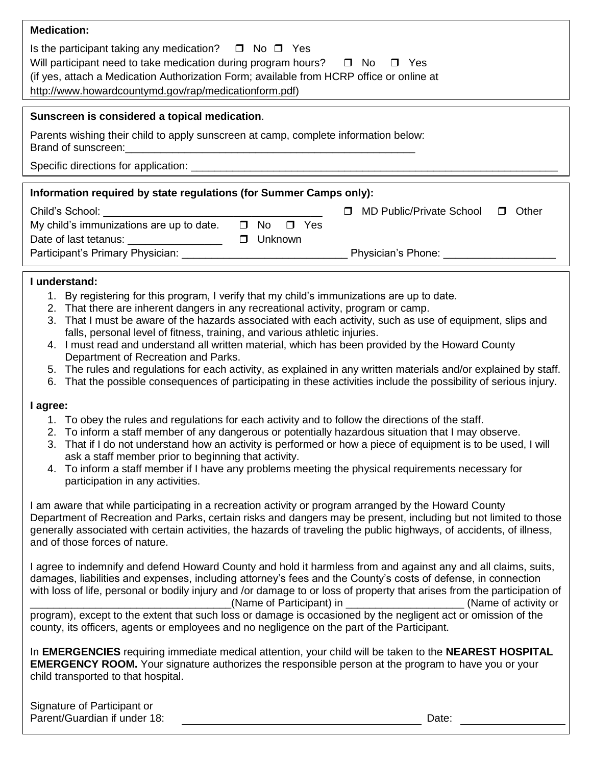| <b>Medication:</b>                                                                                                                                                                                                                     |                                                  |  |  |  |  |  |  |
|----------------------------------------------------------------------------------------------------------------------------------------------------------------------------------------------------------------------------------------|--------------------------------------------------|--|--|--|--|--|--|
| Is the participant taking any medication? $\Box$ No $\Box$ Yes<br>Will participant need to take medication during program hours? $\Box$ No<br>(if yes, attach a Medication Authorization Form; available from HCRP office or online at | $\Box$ Yes                                       |  |  |  |  |  |  |
| http://www.howardcountymd.gov/rap/medicationform.pdf)                                                                                                                                                                                  |                                                  |  |  |  |  |  |  |
| Sunscreen is considered a topical medication.                                                                                                                                                                                          |                                                  |  |  |  |  |  |  |
| Parents wishing their child to apply sunscreen at camp, complete information below:<br>Brand of sunscreen:                                                                                                                             |                                                  |  |  |  |  |  |  |
|                                                                                                                                                                                                                                        |                                                  |  |  |  |  |  |  |
| Information required by state regulations (for Summer Camps only):                                                                                                                                                                     |                                                  |  |  |  |  |  |  |
|                                                                                                                                                                                                                                        |                                                  |  |  |  |  |  |  |
| Child's School: Example 2014                                                                                                                                                                                                           | MD Public/Private School<br>Other<br>$\Box$<br>П |  |  |  |  |  |  |
| My child's immunizations are up to date.<br>$\Box$ No<br>Yes                                                                                                                                                                           |                                                  |  |  |  |  |  |  |

Date of last tetanus: \_\_\_\_\_\_\_\_\_\_\_\_\_\_\_\_\_\_\_\_ □ Unknown Participant's Primary Physician: \_\_\_\_\_\_\_\_\_\_\_\_\_\_\_\_\_\_\_\_\_\_\_\_\_\_\_\_ Physician's Phone: \_\_\_\_\_\_\_\_\_\_\_\_\_\_\_\_\_\_\_

#### **I understand:**

- 1. By registering for this program, I verify that my child's immunizations are up to date.
- 2. That there are inherent dangers in any recreational activity, program or camp.
- 3. That I must be aware of the hazards associated with each activity, such as use of equipment, slips and falls, personal level of fitness, training, and various athletic injuries.
- 4. I must read and understand all written material, which has been provided by the Howard County Department of Recreation and Parks.
- 5. The rules and regulations for each activity, as explained in any written materials and/or explained by staff.
- 6. That the possible consequences of participating in these activities include the possibility of serious injury.

#### **I agree:**

- 1. To obey the rules and regulations for each activity and to follow the directions of the staff.
- 2. To inform a staff member of any dangerous or potentially hazardous situation that I may observe.
- 3. That if I do not understand how an activity is performed or how a piece of equipment is to be used, I will ask a staff member prior to beginning that activity.
- 4. To inform a staff member if I have any problems meeting the physical requirements necessary for participation in any activities.

I am aware that while participating in a recreation activity or program arranged by the Howard County Department of Recreation and Parks, certain risks and dangers may be present, including but not limited to those generally associated with certain activities, the hazards of traveling the public highways, of accidents, of illness, and of those forces of nature.

I agree to indemnify and defend Howard County and hold it harmless from and against any and all claims, suits, damages, liabilities and expenses, including attorney's fees and the County's costs of defense, in connection with loss of life, personal or bodily injury and /or damage to or loss of property that arises from the participation of \_\_\_\_\_\_\_\_\_\_\_\_\_\_\_\_\_\_\_\_\_\_\_\_\_\_\_\_\_\_\_\_\_\_(Name of Participant) in \_\_\_\_\_\_\_\_\_\_\_\_\_\_\_\_\_\_\_\_ (Name of activity or program), except to the extent that such loss or damage is occasioned by the negligent act or omission of the county, its officers, agents or employees and no negligence on the part of the Participant.

In **EMERGENCIES** requiring immediate medical attention, your child will be taken to the **NEAREST HOSPITAL EMERGENCY ROOM.** Your signature authorizes the responsible person at the program to have you or your child transported to that hospital.

| Signature of Participant or  |       |
|------------------------------|-------|
| Parent/Guardian if under 18: | Date: |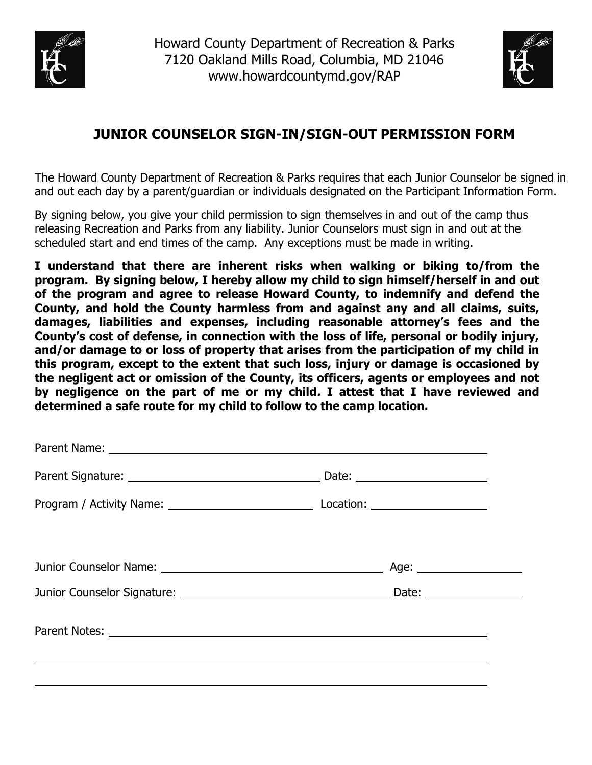



## **JUNIOR COUNSELOR SIGN-IN/SIGN-OUT PERMISSION FORM**

The Howard County Department of Recreation & Parks requires that each Junior Counselor be signed in and out each day by a parent/guardian or individuals designated on the Participant Information Form.

By signing below, you give your child permission to sign themselves in and out of the camp thus releasing Recreation and Parks from any liability. Junior Counselors must sign in and out at the scheduled start and end times of the camp. Any exceptions must be made in writing.

**I understand that there are inherent risks when walking or biking to/from the program. By signing below, I hereby allow my child to sign himself/herself in and out of the program and agree to release Howard County, to indemnify and defend the County, and hold the County harmless from and against any and all claims, suits, damages, liabilities and expenses, including reasonable attorney's fees and the County's cost of defense, in connection with the loss of life, personal or bodily injury, and/or damage to or loss of property that arises from the participation of my child in this program, except to the extent that such loss, injury or damage is occasioned by the negligent act or omission of the County, its officers, agents or employees and not by negligence on the part of me or my child. I attest that I have reviewed and determined a safe route for my child to follow to the camp location.**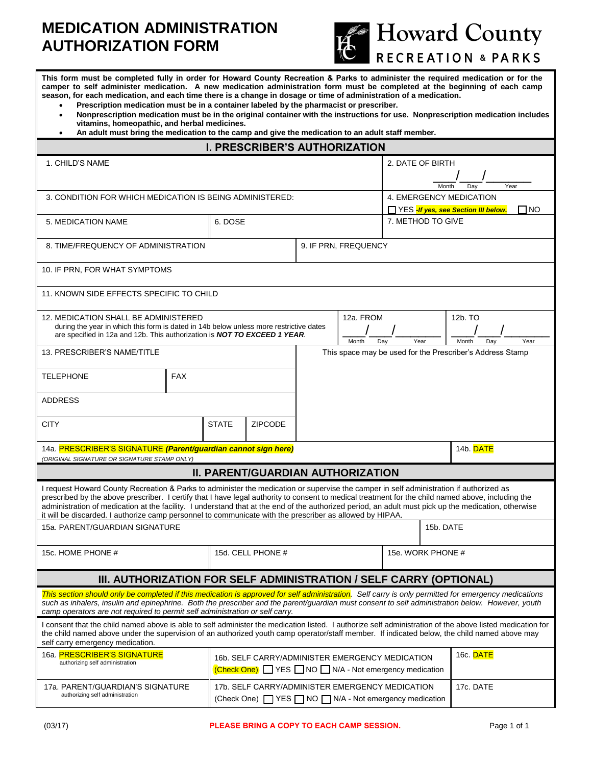## **MEDICATION ADMINISTRATION AUTHORIZATION FORM**



**This form must be completed fully in order for Howard County Recreation & Parks to administer the required medication or for the camper to self administer medication. A new medication administration form must be completed at the beginning of each camp season, for each medication, and each time there is a change in dosage or time of administration of a medication.** 

- **Prescription medication must be in a container labeled by the pharmacist or prescriber.**
- **Nonprescription medication must be in the original container with the instructions for use. Nonprescription medication includes vitamins, homeopathic, and herbal medicines.**
- **An adult must bring the medication to the camp and give the medication to an adult staff member.**

| <b>I. PRESCRIBER'S AUTHORIZATION</b>                                                                                                                                                                                                                                                                                                                                                                                                                                                                                                                              |                   |              |                                                                                                      |                  |                      |                                                           |  |                                                            |
|-------------------------------------------------------------------------------------------------------------------------------------------------------------------------------------------------------------------------------------------------------------------------------------------------------------------------------------------------------------------------------------------------------------------------------------------------------------------------------------------------------------------------------------------------------------------|-------------------|--------------|------------------------------------------------------------------------------------------------------|------------------|----------------------|-----------------------------------------------------------|--|------------------------------------------------------------|
| 1. CHILD'S NAME                                                                                                                                                                                                                                                                                                                                                                                                                                                                                                                                                   |                   |              |                                                                                                      | 2. DATE OF BIRTH |                      |                                                           |  |                                                            |
|                                                                                                                                                                                                                                                                                                                                                                                                                                                                                                                                                                   |                   |              |                                                                                                      |                  | Year<br>Month<br>Dav |                                                           |  |                                                            |
| 3. CONDITION FOR WHICH MEDICATION IS BEING ADMINISTERED:                                                                                                                                                                                                                                                                                                                                                                                                                                                                                                          |                   |              |                                                                                                      |                  |                      | <b>4. EMERGENCY MEDICATION</b>                            |  |                                                            |
|                                                                                                                                                                                                                                                                                                                                                                                                                                                                                                                                                                   |                   |              |                                                                                                      |                  |                      |                                                           |  | 1 NO<br>∏ YES <mark>-If yes, see Section III below.</mark> |
| 5. MEDICATION NAME                                                                                                                                                                                                                                                                                                                                                                                                                                                                                                                                                |                   | 6. DOSE      |                                                                                                      |                  |                      | 7. METHOD TO GIVE                                         |  |                                                            |
| 8. TIME/FREQUENCY OF ADMINISTRATION<br>9. IF PRN, FREQUENCY                                                                                                                                                                                                                                                                                                                                                                                                                                                                                                       |                   |              |                                                                                                      |                  |                      |                                                           |  |                                                            |
| 10. IF PRN, FOR WHAT SYMPTOMS                                                                                                                                                                                                                                                                                                                                                                                                                                                                                                                                     |                   |              |                                                                                                      |                  |                      |                                                           |  |                                                            |
| 11. KNOWN SIDE EFFECTS SPECIFIC TO CHILD                                                                                                                                                                                                                                                                                                                                                                                                                                                                                                                          |                   |              |                                                                                                      |                  |                      |                                                           |  |                                                            |
| 12. MEDICATION SHALL BE ADMINISTERED<br>during the year in which this form is dated in 14b below unless more restrictive dates<br>are specified in 12a and 12b. This authorization is NOT TO EXCEED 1 YEAR.                                                                                                                                                                                                                                                                                                                                                       |                   |              |                                                                                                      |                  | 12a. FROM<br>Month   | 12b. TO<br>Year<br>Month<br>Year<br>Day<br>Day            |  |                                                            |
| 13. PRESCRIBER'S NAME/TITLE                                                                                                                                                                                                                                                                                                                                                                                                                                                                                                                                       |                   |              |                                                                                                      |                  |                      | This space may be used for the Prescriber's Address Stamp |  |                                                            |
| <b>TELEPHONE</b>                                                                                                                                                                                                                                                                                                                                                                                                                                                                                                                                                  | <b>FAX</b>        |              |                                                                                                      |                  |                      |                                                           |  |                                                            |
| <b>ADDRESS</b>                                                                                                                                                                                                                                                                                                                                                                                                                                                                                                                                                    |                   |              |                                                                                                      |                  |                      |                                                           |  |                                                            |
| <b>CITY</b>                                                                                                                                                                                                                                                                                                                                                                                                                                                                                                                                                       |                   | <b>STATE</b> | <b>ZIPCODE</b>                                                                                       |                  |                      |                                                           |  |                                                            |
| 14a. PRESCRIBER'S SIGNATURE (Parent/guardian cannot sign here)<br>(ORIGINAL SIGNATURE OR SIGNATURE STAMP ONLY)                                                                                                                                                                                                                                                                                                                                                                                                                                                    |                   |              |                                                                                                      |                  |                      |                                                           |  | 14b. DATE                                                  |
|                                                                                                                                                                                                                                                                                                                                                                                                                                                                                                                                                                   |                   |              | <b>II. PARENT/GUARDIAN AUTHORIZATION</b>                                                             |                  |                      |                                                           |  |                                                            |
| I request Howard County Recreation & Parks to administer the medication or supervise the camper in self administration if authorized as<br>prescribed by the above prescriber. I certify that I have legal authority to consent to medical treatment for the child named above, including the<br>administration of medication at the facility. I understand that at the end of the authorized period, an adult must pick up the medication, otherwise<br>it will be discarded. I authorize camp personnel to communicate with the prescriber as allowed by HIPAA. |                   |              |                                                                                                      |                  |                      |                                                           |  |                                                            |
| 15a. PARENT/GUARDIAN SIGNATURE                                                                                                                                                                                                                                                                                                                                                                                                                                                                                                                                    |                   |              |                                                                                                      | 15b. DATE        |                      |                                                           |  |                                                            |
| 15c. HOME PHONE #                                                                                                                                                                                                                                                                                                                                                                                                                                                                                                                                                 | 15d. CELL PHONE # |              |                                                                                                      |                  |                      | 15e. WORK PHONE #                                         |  |                                                            |
| III. AUTHORIZATION FOR SELF ADMINISTRATION / SELF CARRY (OPTIONAL)                                                                                                                                                                                                                                                                                                                                                                                                                                                                                                |                   |              |                                                                                                      |                  |                      |                                                           |  |                                                            |
| This section should only be completed if this medication is approved for self administration. Self carry is only permitted for emergency medications<br>such as inhalers, insulin and epinephrine. Both the prescriber and the parent/guardian must consent to self administration below. However, youth<br>camp operators are not required to permit self administration or self carry.                                                                                                                                                                          |                   |              |                                                                                                      |                  |                      |                                                           |  |                                                            |
| I consent that the child named above is able to self administer the medication listed. I authorize self administration of the above listed medication for<br>the child named above under the supervision of an authorized youth camp operator/staff member. If indicated below, the child named above may<br>self carry emergency medication.                                                                                                                                                                                                                     |                   |              |                                                                                                      |                  |                      |                                                           |  |                                                            |
| 16a. PRESCRIBER'S SIGNATURE<br>authorizing self administration                                                                                                                                                                                                                                                                                                                                                                                                                                                                                                    |                   |              | 16b. SELF CARRY/ADMINISTER EMERGENCY MEDICATION<br>(Check One) YES NO N/A - Not emergency medication |                  |                      |                                                           |  | 16c. DATE                                                  |
| 17a. PARENT/GUARDIAN'S SIGNATURE<br>authorizing self administration                                                                                                                                                                                                                                                                                                                                                                                                                                                                                               |                   |              | 17b. SELF CARRY/ADMINISTER EMERGENCY MEDICATION<br>(Check One) YES NO N/A - Not emergency medication |                  |                      |                                                           |  | 17c. DATE                                                  |